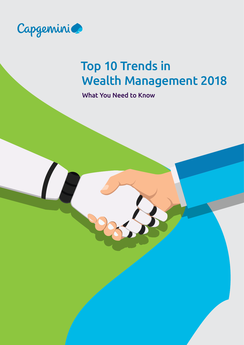

# Top 10 Trends in Wealth Management 2018

What You Need to Know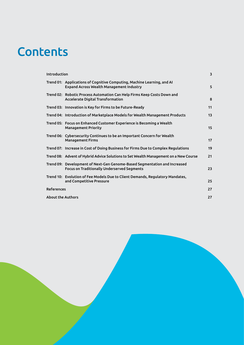# **Contents**

| Introduction             |                                                                                                                                 | 3  |
|--------------------------|---------------------------------------------------------------------------------------------------------------------------------|----|
|                          | Trend 01: Applications of Cognitive Computing, Machine Learning, and AI<br><b>Expand Across Wealth Management Industry</b>      | 5  |
|                          | Trend 02: Robotic Process Automation Can Help Firms Keep Costs Down and<br>Accelerate Digital Transformation                    | 8  |
|                          | Trend 03: Innovation is Key for Firms to be Future-Ready                                                                        | 11 |
|                          | Trend 04: Introduction of Marketplace Models for Wealth Management Products                                                     | 13 |
|                          | Trend 05: Focus on Enhanced Customer Experience is Becoming a Wealth<br><b>Management Priority</b>                              | 15 |
|                          | Trend 06: Cybersecurity Continues to be an Important Concern for Wealth<br><b>Management Firms</b>                              | 17 |
|                          | Trend 07: Increase in Cost of Doing Business for Firms Due to Complex Regulations                                               | 19 |
|                          | Trend 08: Advent of Hybrid Advice Solutions to Set Wealth Management on a New Course                                            | 21 |
|                          | Trend 09: Development of Next-Gen Genome-Based Segmentation and Increased<br><b>Focus on Traditionally Underserved Segments</b> | 23 |
|                          | Trend 10: Evolution of Fee Models Due to Client Demands, Regulatory Mandates,<br>and Competitive Pressure                       | 25 |
| <b>References</b>        |                                                                                                                                 | 27 |
| <b>About the Authors</b> |                                                                                                                                 | 27 |
|                          |                                                                                                                                 |    |

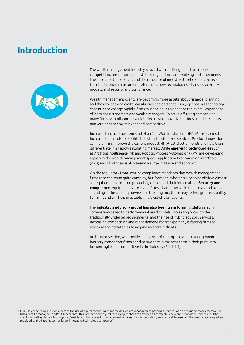### <span id="page-2-0"></span>**Introduction**



The wealth management industry is faced with challenges such as intense competition, fee compression, stricter regulations, and evolving customer needs. The impact of these forces and the response of industry stakeholders give rise to critical trends in customer preferences, new technologies, changing advisory models, and security and compliance.

Wealth management clients are becoming more astute about financial planning, and they are seeking digital capabilities and better advisory options. As technology continues to change rapidly, firms must be agile to enhance the overall experience of both their customers and wealth managers. To stave off rising competition, many firms will collaborate with FinTechs<sup>1</sup> via innovative business models such as marketplaces to stay relevant and competitive.

Increased financial awareness of High Net Worth Individuals (HNWIs) is leading to increased demands for sophisticated and customized services. Product innovation can help firms improve the current modest HNWI satisfaction levels and help them differentiate in a rapidly saturating market. While **emerging technologies** such as Artificial Intelligence (AI) and Robotic Process Automation (RPA) are developing rapidly in the wealth management space, Application Programming Interfaces (APIs) and blockchain is also seeing a surge in its use and adoption.

On the regulatory front, myriad compliance mandates that wealth management firms face can seem quite complex, but from the cybersecurity point of view, almost all requirements focus on protecting clients and their information. **Security and compliance** requirements are giving firms a hard time with rising costs and overall spending in these areas; however, in the long run, these may reflect greater stability for firms and will help in establishing trust of their clients.

The **industry's advisory model has also been transforming**, shifting from commission-based to performance-based models, increasing focus on the traditionally underserved segments, and the rise of hybrid advisory services. Increasing competition and client demand for transparency is forcing firms to relook at their strategies to acquire and retain clients.

In the next section, we provide an analysis of the top 10 wealth management industry trends that firms need to navigate in the near term in their pursuit to become agile and competitive in the industry (Exhibit 1).

<sup>1</sup> Our use of the term 'FinTech' refers to the use of digital technologies for making wealth management products, services and distribution more effective for firms, wealth managers, and/or HNW clients. This includes both digital technologies that are provided as completely new and standalone services to HNW clients, as well as those which support/enable traditional wealth management services. For our definition, we are most focused on the services developed and provided by startups (as well as large, innovative technology companies)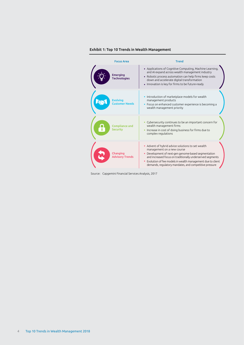#### Exhibit 1: Top 10 Trends in Wealth Management



Source: Capgemini Financial Services Analysis, 2017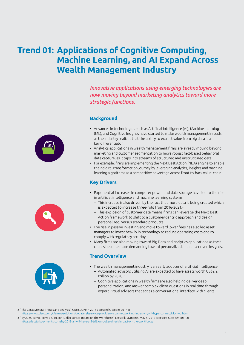# <span id="page-4-0"></span>**Trend 01: Applications of Cognitive Computing, Machine Learning, and AI Expand Across Wealth Management Industry**

*Innovative applications using emerging technologies are now moving beyond marketing analytics toward more strategic functions.*

#### **Background**



- Analytics applications in wealth management firms are already moving beyond marketing and customer segmentation to more robust fact-based behavioral data capture, as it taps into streams of structured and unstructured data.
- For example, firms are implementing the Next Best Action (NBA) engine to enable their digital transformation journey by leveraging analytics, insights and machinelearning algorithms as a competitive advantage across front-to-back value-chain.

#### **Key Drivers**

- Exponential increases in computer power and data storage have led to the rise in artificial intelligence and machine learning systems:
	- This increase is also driven by the fact that more data is being created which is expected to increase three-fold from 2016-2021.<sup>2</sup>
	- This explosion of customer data means firms can leverage the Next Best Action framework to shift to a customer-centric approach and design personalized, versus standard products.
- The rise in passive investing and move toward lower fees has also led asset managers to invest heavily in technology to reduce operating costs and to comply with regulatory scrutiny.
- Many firms are also moving toward Big Data and analytics applications as their clients become more demanding toward personalized and data-driven insights.

#### **Trend Overview**

- The wealth management industry is an early adopter of artificial intelligence: – Automated advisors utilizing AI are expected to have assets worth US\$2.2 trillion by 2020.<sup>3</sup>
	- Cognitive applications in wealth firms are also helping deliver deep personalization, and answer complex client questions in real time through expert virtual advisors that act as a conversational interface with clients

2 "The ZetaByte Era: Trends and analysis", Cisco, June 7, 2017 accessed October 2017 at

<https://www.cisco.com/c/en/us/solutions/collateral/service-provider/visual-networking-index-vni/vni-hyperconnectivity-wp.html> 3 "By 2025, AI Will Have a 5-Trillion-Dollar Direct Impact on the Workforce", LetsTalkPayments, May 5, 2016 accessed October 2017 at <https://letstalkpayments.com/by-2015-ai-will-have-a-5-trillion-dollar-direct-impact-on-the-workforce/>





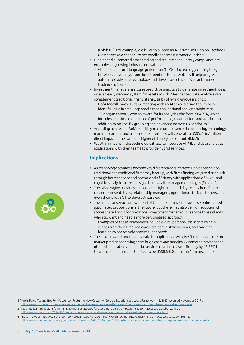(Exhibit 2). For example, Wells Fargo piloted an AI-driven solution on Facebook Messenger as a channel to personally address customer queries.<sup>4</sup>

- High-speed automated asset trading and real-time regulatory compliance are examples of growing industry innovations:
	- AI-enabled natural language generation (NLG) is increasingly closing the gap between data analysis and investment decisions, which will help progress automated advisory technology and drive more efficiency to automated trading strategies.
- Investment managers are using predictive analytics to generate investment ideas or as an early warning system for assets at risk. AI-enhanced data analytics can complement traditional financial analysis by offering unique insights:
	- BofA Merrill Lynch is experimenting with an AI stock-picking tool to help identify value in small-cap stocks that conventional analysts might miss.<sup>5</sup>
	- JP Morgan recently won an award for its analytics platform, SPARTA, which includes real-time calculation of performance, contribution, and attribution, in addition to on-the-fly grouping and advanced ex-post risk analytics.<sup>6</sup>
- According to a recent BofA Merrill Lynch report, advances in computing technology, machine learning, and user-friendly interfaces will generate a US\$5.2–6.7 trillion direct impact in the form of a higher efficiency and output. (ibid.3)
- Wealth firms are in the technological race to integrate AI, ML and data analytics applications with their teams to provide hybrid services.

#### **Implications**

- As technology advances become key differentiators, competition between nontraditional and traditional firms may heat up, with firms finding ways to distinguish through better service and operational efficiency with applications of AI, ML and cognitive analytics across all significant wealth management stages (Exhibit 2).
- The NBA engine provides actionable insights that add day-to-day benefits to callcenter representatives, relationship managers, operational staff, customers, and even their pilot BOT to drive self service.
- The trend for servicing lower end of the market may emerge into sophisticated automated propositions in the future, but there may also be high adoption of sophisticated tools for traditional investment managers to service those clients who still want and need a more personalized approach:
	- Examples of these innovations include digital personal assistants to help clients plan their time and complete administrative tasks, and machine learning to proactively predict client needs.
- The move towards more data analytics applications will give firms an edge on stock market predictions saving them huge costs and margins. Automated advisory and other AI applications in financial services could increase efficiency by 45-55% for a total economic impact estimated to be US\$0.6-0.8 trillion in 10 years. (ibid.3)



5 "Machine learning is transforming investment strategies for asset managers", CNBC, June 6, 2017 accessed October 2017 at <https://www.cnbc.com/2017/06/06/machine-learning-transforms-investment-strategies-for-asset-managers.html>

6 "Best Analytics Initiative: Buy Side—JPMorgan Asset Management", WatersTechnology, January 16, 2017 accessed October 2017 at <https://www.waterstechnology.com/awards-rankings/2480253/aftas-2016-best-analytics-initiative-buy-side-jpmorgan-asset-management-sparta>

<sup>4 &</sup>quot;Wells Fargo Testing Bot For Messenger Featuring New Customer Service Experiences", Wells Fargo, April 18, 2017 accessed November 2017 at <https://newsroom.wf.com/press-release/community-banking-and-small-business/wells-fargo-testing-bot-messenger-featuring-new>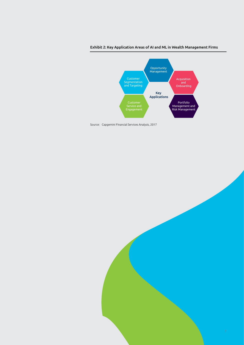



Source: Capgemini Financial Services Analysis, 2017

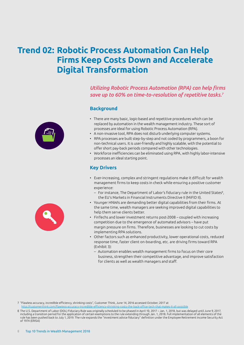# <span id="page-7-0"></span>**Trend 02: Robotic Process Automation Can Help Firms Keep Costs Down and Accelerate Digital Transformation**

*Utilizing Robotic Process Automation (RPA) can help firms save up to 60% on time-to-resolution of repetitive tasks.7*

#### **Background**



- There are many basic, logic-based and repetitive procedures which can be replaced by automation in the wealth management industry. These sort of processes are ideal for using Robotic Process Automation (RPA).
- A non-invasive tool, RPA does not disturb underlying computer systems.
- RPA processes are built step-by-step and not coded by programmers, a boon for non-technical users. It is user-friendly and highly scalable, with the potential to offer short pay-back periods compared with other technologies.
- Workforce inefficiencies can be eliminated using RPA, with highly labor-intensive processes an ideal starting point.

#### **Key Drivers**

- Ever-increasing, complex and stringent regulations make it difficult for wealth management firms to keep costs in check while ensuring a positive customer experience:
	- $-$  For instance, The Department of Labor's fiduciary rule in the United States $^{\rm 8}$ , the EU's Markets in Financial Instruments Directive II (MiFID II).
- Younger HNWIs are demanding better digital capabilities from their firms. At the same time, wealth managers are seeking improved digital capabilities to help them serve clients better.
- FinTechs and lower investment returns post-2008 coupled with increasing competition due to the emergence of automated advisors – have put margin pressure on firms. Therefore, businesses are looking to cut costs by implementing RPA solutions.
- Other factors such as enhanced productivity, lower operational costs, reduced response time, faster client on-boarding, etc. are driving firms toward RPA (Exhibit 3):
	- Automation enables wealth management firms to focus on their core business, strengthen their competitive advantage, and improve satisfaction for clients as well as wealth managers and staff.

7 "Flawless accuracy, incredible efficiency, shrinking costs", Customer Think, June 14, 2016 accessed October, 2017 at

<http://customerthink.com/flawless-accuracy-incredible-efficiency-shrinking-costs-the-back-office-tech-that-makes-it-all-possible>

<sup>8</sup> The U.S. Department of Labor (DOL) Fiduciary Rule was originally scheduled to be phased in April 10, 2017 – Jan. 1, 2018, but was delayed until June 9, 2017, including a transition period for the application of certain exemptions to the rule extending through Jan. 1, 2018. Full implementation of all elements of the rule has been pushed back to July 1, 2019. The rule expands the "investment advice fiduciary" definition under the Employee Retirement Income Security Act of 1974 (ERISA)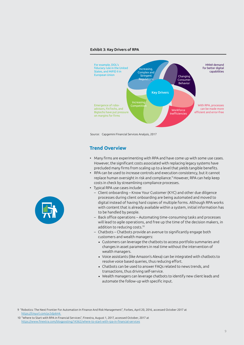#### Exhibit 3: Key Drivers of RPA



Source: Capgemini Financial Services Analysis, 2017

#### **Trend Overview**

- Many firms are experimenting with RPA and have come up with some use cases. However, the significant costs associated with replacing legacy systems have precluded many firms from scaling up to a level that yields tangible benefits.
- RPA can be used to increase controls and execution consistency, but it cannot replace human oversight in risk and compliance.9 However, RPA can help keep costs in check by streamlining compliance processes.
- Typical RPA use cases include:
	- Client onboarding Know Your Customer (KYC) and other due diligence processes during client onboarding are being automated and moved to digital instead of having hard copies of multiple forms. Although RPA works with content that is already available within a system, initial information has to be handled by people.
	- Back office operations Automating time-consuming tasks and processes will lead to agile operations, and free up the time of the decision makers, in addition to reducing costs.10
	- Chatbots Chatbots provide an avenue to significantly engage both customers and wealth managers:
		- Customers can leverage the chatbots to access portfolio summaries and changes in asset parameters in real time without the intervention of wealth managers.
		- Voice assistants (like Amazon's Alexa) can be integrated with chatbots to resolve voice based queries, thus reducing effort.
		- Chatbots can be used to answer FAQs related to news trends, and transactions, thus driving self-service.
		- Wealth managers can leverage chatbots to identify new client leads and automate the follow-up with specific input.



10 "Where to Start with RPA in Financial Services", Finextra, August 1, 2017, accessed October, 2017 at <https://www.finextra.com/blogposting/14362/where-to-start-with-rpa-in-financial-services>

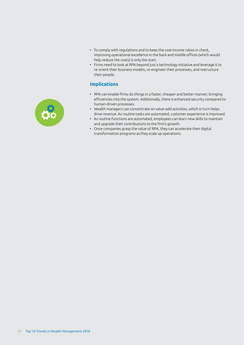- To comply with regulations and to keep the cost-income ratios in check, improving operational excellence in the back and middle offices (which would help reduce the costs) is only the start.
- Firms need to look at RPA beyond just a technology initiative and leverage it to re-orient their business models, re-engineer their processes, and restructure their people.

#### **Implications**

- RPA can enable firms do things in a faster, cheaper and better manner, bringing efficiencies into the system. Additionally, there is enhanced security compared to human-driven processes.
- Wealth managers can concentrate on value-add activities, which in turn helps drive revenue. As routine tasks are automated, customer experience is improved.
- As routine functions are automated, employees can learn new skills to maintain and upgrade their contributions to the firm's growth.
- Once companies grasp the value of RPA, they can accelerate their digital transformation programs as they scale up operations.

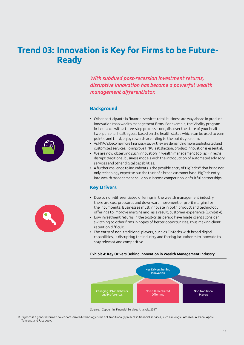## <span id="page-10-0"></span>**Trend 03: Innovation is Key for Firms to be Future-Ready**

*With subdued post-recession investment returns, disruptive innovation has become a powerful wealth management differentiator.*

#### **Background**

- Other participants in financial services retail business are way ahead in product innovation than wealth management firms. For example, the Vitality program in insurance with a three-step process – one, discover the state of your health, two, personal health goals based on the health status which can be used to earn points, and third, enjoy rewards according to the points you earn.
- As HNWIs become more financially savvy, they are demanding more sophisticated and customized services. To improve HNWI satisfaction, product innovation is essential.
- We are now observing such innovation in wealth management too, as FinTechs disrupt traditional business models with the introduction of automated advisory services and other digital capabilities.
- A further challenge to incumbents is the possible entry of BigTechs<sup>11</sup> that bring not only technology expertise but the trust of a broad customer base. BigTech entry into wealth management could spurintense competition, orfruitful partnerships.

#### **Key Drivers**

- Due to non-differentiated offerings in the wealth management industry, there are cost pressures and downward movement of profit margins for the incumbents. Businesses must innovate in both product and technology offerings to improve margins and, as a result, customer experience (Exhibit 4).
- Low investment returns in the post-crisis period have made clients consider switching to other firms in hopes of better opportunities, thus making client retention difficult.
- The entry of non-traditional players, such as FinTechs with broad digital capabilities, is disrupting the industry and forcing incumbents to innovate to stay relevant and competitive.

#### Exhibit 4: Key Drivers Behind Innovation in Wealth Management Industry



Source: Capgemini Financial Services Analysis, 2017

11 BigTech is a general term to cover data-driven technology firms not traditionally present in financial services, such as Google, Amazon, Alibaba, Apple, Tencent, and Facebook.



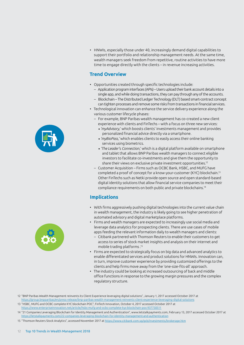• HNWIs, especially those under 40, increasingly demand digital capabilities to support their portfolio and relationship management needs. At the same time, wealth managers seek freedom from repetitive, routine activities to have more time to engage directly with the clients – in revenue increasing activities.

#### **Trend Overview**

- Opportunities created through specific technologies include:
	- Applicationprograminterfaces (APIs) –Usersuploadtheirbank accountdetails intoa single app, and while doing transactions, they can pay through any of the accounts.
	- Blockchain The DistributedLedger Technology (DLT)basedsmart-contract concept can tighten processes and remove some risks from transactions infinancial services.
- Technological innovation can enhance the service delivery experience along the various customer lifecycle phases:
	- For example, BNP Paribas wealth management has co-created a new client experience with clients and FinTechs – with a focus on three new services:
		- *'myAdvisory,*' which boosts clients' investments management and provides personalized financial advice directly via a smartphone.
		- *'myBioPass,'* which enables clients to easily access their online banking services using biometrics.
		- *'The Leader'*s *Connection*,' which is a digital platform available on smartphone and tablet that allows BNP Paribas wealth managers to connect eligible investors to facilitate co-investments and give them the opportunity to share their views on exclusive private investment opportunities.12
	- Customer Acquisition Firms such as OCBC Bank, HSBC, and MUFG have completed a proof of concept for a know-your-customer (KYC) blockchain.13 Other FinTechs such as Netki provide open source and open standard-based digital identity solutions that allow financial service companies to meet their compliance requirements on both public and private blockchains.<sup>14</sup>

#### **Implications**

- With firms aggressively pushing digital technologies into the current value chain in wealth management, the industry is likely going to see higher penetration of automated advisory and digital marketplace platforms.
- Firms and wealth managers are expected to increasingly use social media and leverage data analytics for prospecting clients. There are use cases of mobile apps feeding the relevant information daily to wealth managers and clients:
	- Citibank partnered with Thomson Reuters to enable their customers to get access to series of stock market insights and analysis on their internet and mobile trading platforms . 15
- Firms are expected to strategically focus on big data and advanced analytics to enable differentiated services and product solutions for HNWIs. Innovation can, in turn, improve customer experience by providing customized offerings to the clients and help firms move away from the 'one-size-fits-all' approach.
- The industry could be looking at increased outsourcing of back and middle office functions in response to the growing margin pressures and the complex regulatory structure.





<sup>12 &</sup>quot;BNP Paribas Wealth Management reinvents its Client Experience leveraging digital solutions", January 1, 2017 accessed October 2017 at <https://group.bnpparibas/en/press-release/bnp-paribas-wealth-management-reinvents-client-experience-leveraging-digital-solutions>

<sup>13 &</sup>quot;HSBC, MUFG and OCBC complete KYC blockchain POC", FinTech Innovation, October 4, 2017 accessed October 2017 at <https://www.enterpriseinnovation.net/article/hsbc-mufg-and-ocbc-complete-kyc-blockchain-poc-937750511>

<sup>14 &</sup>quot;21 Companies Leveraging Blockchain for Identity Management and Authentication", www.letstalkpayments.com, February 13, 2017 accessed October 2017 at [https://letstalkpayments.com/22-companies-leveraging-blockchain-for-identity-management-and-authentication](https://letstalkpayments.com/22-companies-leveraging-blockchain-for-identity-management-and-authentication/)

<sup>15 &</sup>quot;Thomson Reuters Stock Analytics", accessed November 2017 at <https://www.citibank.com.sg/gcb/investments/brokerage.htm>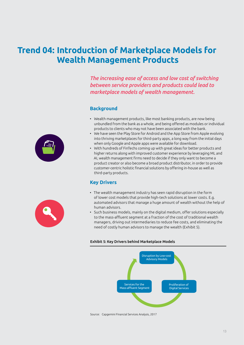# <span id="page-12-0"></span>**Trend 04: Introduction of Marketplace Models for Wealth Management Products**

*The increasing ease of access and low cost of switching between service providers and products could lead to marketplace models of wealth management.*

#### **Background**

- Wealth management products, like most banking products, are now being unbundled from the bank as a whole, and being offered as modules or individual products to clients who may not have been associated with the bank.
- We have seen the Play Store for Android and the App Store from Apple evolving into thriving marketplaces for third-party apps, a long way from the initial days when only Google and Apple apps were available for download.
- With hundreds of FinTechs coming up with great ideas for better products and higher returns along with improved customer experience by leveraging ML and AI, wealth management firms need to decide if they only want to become a product creator or also become a broad product distributor, in order to provide customer-centric holistic financial solutions by offering in-house as well as third-party products.

#### **Key Drivers**

- The wealth management industry has seen rapid disruption in the form of lower cost models that provide high-tech solutions at lower costs. E.g. automated advisors that manage a huge amount of wealth without the help of human advisors.
- Such business models, mainly on the digital medium, offer solutions especially to the mass-affluent segment at a fraction of the cost of traditional wealth managers, driving out intermediaries to reduce fee costs, and eliminating the need of costly human advisors to manage the wealth (Exhibit 5).

#### Exhibit 5: Key Drivers behind Marketplace Models



Source: Capgemini Financial Services Analysis, 2017

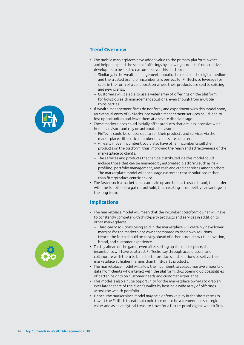

#### **Trend Overview**

- The mobile marketplaces have added value to the primary platform owner and helped expand the scale of offerings by allowing products from creative developers to be sold to customers over this platform:
	- Similarly, in the wealth management domain, the reach of the digital medium and the trusted brand of incumbents is perfect for FinTechs to leverage for scale in the form of a collaboration where their products are sold to existing and new clients.
	- Customers will be able to use a wider array of offerings on the platform for holistic wealth management solutions, even though from multiple third-parties.
- If wealth management firms do not foray and experiment with this model soon, an eventual entry of BigTechs into wealth management services could lead to lost opportunities and leave them at a severe disadvantage.
- These marketplaces could initially offer products that are less intensive w.r.t. human advisors and rely on automated advisors:
	- FinTechs could be onboarded to sell their products and services via the marketplace, till a critical number of clients are acquired.
	- An early mover incumbent could also have other incumbents sell their products on the platform, thus improving the reach and attractiveness of the marketplace to clients.
	- The services and products that can be distributed via this model could include those that can be managed by automated platforms such as riskprofiling, portfolio management, and cash and credit services among others.
	- The marketplace model will encourage customer-centric solutions rather than firm/product-centric advice.
- The faster such a marketplace can scale up and build a trusted brand, the harder will it be for others to gain a foothold, thus creating a competitive advantage in the long term.

### **Implications**

- The marketplace model will mean that the incumbent platform owner will have to constantly compete with third-party products and services in addition to other marketplaces:
	- Third-party solutions being sold in the marketplace will certainly have lower margins for the marketplace owner compared to their own solutions.
	- Hence, the focus should be to stay ahead of other products w.r.t. innovation, brand, and customer experience.
- To stay ahead of the game, even after setting up the marketplace, the incumbents will have to attract FinTechs, say through accelerators, and collaborate with them to build better products and solutions to sell via the marketplace at higher margins than third-party products.
- The marketplace model will allow the incumbent to collect massive amounts of data from clients who interact with the platform, thus opening up possibilities of better insights on customer needs and customer experience.
- This model is also a huge opportunity for the marketplace owners to grab an ever larger share of the client's wallet by hosting a wide array of offerings across the wealth portfolio.
- Hence, the marketplace model may be a defensive play in the short-term (to thwart the FinTech threat) but could turn out to be a tremendous strategic value-add as an analytical treasure trove for a future-proof digital wealth firm.

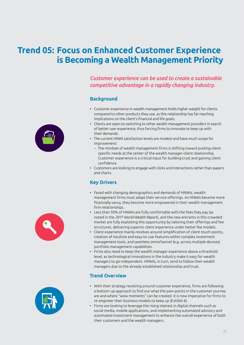# <span id="page-14-0"></span>**Trend 05: Focus on Enhanced Customer Experience is Becoming a Wealth Management Priority**



#### **Background**

- Customer experience in wealth management holds higher weight for clients compared to other products they use, as this relationship has far-reaching implications on the client's financial and life goals.
- Clients are open to switching to other wealth management providers in search of better user experience, thus forcing firms to innovate to keep up with their demands.
- The current HNWI satisfaction levels are modest and have much scope for improvement:
	- The mindset of wealth management firms is shifting toward putting clientspecific needs at the center of the wealth manager-client relationship. Customer experience is a critical input for building trust and gaining client confidence.
- Customers are looking to engage with clicks and interactions rather than papers and charts.

#### **Key Drivers**

- Faced with changing demographics and demands of HNWIs, wealth management firms must adapt their service offerings. As HNWIs become more financially savvy, they become more empowered in their wealth management firm relationships.
- Less than 50% of HNWIs are fully comfortable with the fees they pay (as noted in the *2017 World Wealth Report*), and the new entrants in this crowded market are fully exploiting this opportunity by tailoring their offerings and fee structures, delivering superior client experience under better fee models.
- Client experience mainly revolves around simplification of client touch-points, creation of intuitive and easy-to-use features within complex investment management tools, and seamless omnichannel (e.g. across multiple devices) portfolio management capabilities.
- Firms also need to keep the wealth manager experience above a threshold level, as technological innovations in the industry make it easy for wealth managers to go independent. HNWIs, in turn, tend to follow their wealth managers due to the already established relationship and trust.

#### **Trend Overview**

- With their strategy revolving around customer experience, firms are following a bottom-up approach to find out what the pain-points in the customer journey are and where "wow moments" can be created. It is now imperative for firms to re-engineer their business models to keep up (Exhibit 6).
- Firms are looking to leverage the rising interest in digital channels such as social media, mobile applications, and implementing automated advisory and automated investment management to enhance the overall experience of both their customers and the wealth managers.





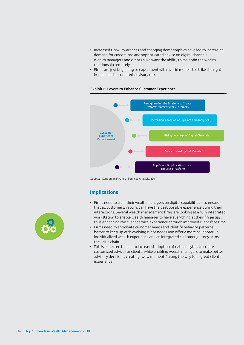- Increased HNWI awareness and changing demographics have led to increasing demand for customized and sophisticated advice on digital channels. Wealth managers and clients alike want the ability to maintain the wealth relationship remotely.
- Firms are just beginning to experiment with hybrid models to strike the right human- and automated-advisory mix.



#### Exhibit 6: Levers to Enhance Customer Experience

Source: Capgemini Financial Services Analysis, 2017

#### **Implications**

- Firms need to train their wealth managers on digital capabilities to ensure that all customers, in turn, can have the best possible experience during their interactions. Several wealth management firms are looking at a fully integrated workstation to enable wealth manager to have everything at their fingertips, thus enhancing the client service experience through improved client-face time.
- Firms need to anticipate customer needs and identify behavior patterns better to keep up with evolving client needs and offer a more collaborative, individualized wealth experience and an integrated customer journey across the value chain.
- This is expected to lead to increased adoption of data analytics to create customized advice for clients, while enabling wealth managers to make better advisory decisions, creating 'wow moments' along the way for a great client experience.

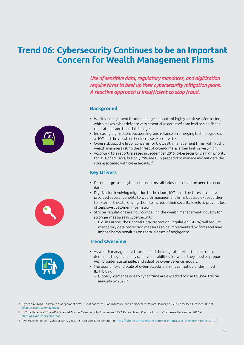### <span id="page-16-0"></span>**Trend 06: Cybersecurity Continues to be an Important Concern for Wealth Management Firms**

*Use of sensitive data, regulatory mandates, and digitization require firms to beef up their cybersecurity mitigation plans. A reactive approach is insufficient to stop fraud.*

#### **Background**

- Wealth management firms hold huge amounts of highly sensitive information, which makes cyber-defence very essential as data theft can lead to significant reputational and financial damages.
- Increasing digitization, outsourcing, and reliance on emerging technologies such as IOT and the cloud further increase exposure risk.
- Cyber risk tops the list of concerns for UK wealth management firms, with 90% of wealth managers rating the threat of cybercrime as either high or very-high.16
- According to a report released in September 2016, cybersecurity is a high priority for 81% of advisors, but only 29% are fully prepared to manage and mitigate the risks associated with cybersecurity.17

#### **Key Drivers**

- Recent large-scale cyber-attacks across all industries drive the need to secure data.
- Digitization involving migration to the cloud, IOT infrastructures, etc., have provided several benefits to wealth management firms but also exposed them to external threats, driving them to increase their security levels to prevent loss of sensitive customer information.
- Stricter regulations are now compelling the wealth management industry for stronger measures in cybersecurity:
	- E.g. in Europe, the General Data Protection Regulation (GDPR) will require mandatory data protection measures to be implemented by firms and may impose heavy penalties on them in cases of negligence.

#### **Trend Overview**

- As wealth management firms expand their digital services to meet client demands, they face many open vulnerabilities for which they need to prepare with broader, sustainable, and adaptive cyber-defence models.
- The possibility and scale of cyber-attacks on firms cannot be undermined (Exhibit 7):
	- Globally, damages due to cybercrime are expected to rise to US\$6 trillion annually by 2021.18

- 17 "Is Your Data Safe? The 2016 Financial Adviser Cybersecurity Assessment", FPA Research and Practice Institute™ accessed November 2017 at [https://tinyurl.com/ybms9noz](https://tinyurl.com/ybms9noz )
- 18 "CyberCrime Report", CyberSecurity Ventures, accessed October 2017 at <https://cybersecurityventures.com/hackerpocalypse-cybercrime-report-2016/>





<sup>16 &</sup>quot;Cyber risks tops UK Wealth Management firms' list of concerns", LarkInsurance and CompeerLtd Report, January 23, 2017 accessed October 2017 at https://tinyurl.com/yapkuoe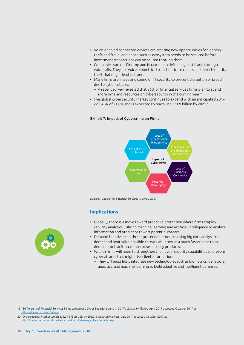- Voice-enabled connected devices are creating new opportunities for identity theft and fraud, and hence such as ecosystem needs to be secured before investment transactions can be routed thorugh them.
- Companies such as Pindrop and Nuance help defend against fraud through voice calls. They use voice biometrics to authenticate callers and detect identity theft that might lead to fraud.
- Many firms are increasing spend on IT security to prevent disruption or breach due to cyber-attacks:
	- A recent survey revealed that 86% of financial services firms plan to spend more time and resources on cybersecurity in the coming year.19
- The global cyber security market continues to expand with an anticipated 2017- 22 CAGR of 11.0% and is expected to reach US\$231.9 billion by 2021.<sup>20</sup>

#### Exhibit 7: Impact of Cybercrime on Firms



Source: Capgemini Financial Services Analysis, 2017

#### **Implications**

- Globally, there is a move toward proactive protection where firms employ security analytics utilizing machine learning and artificial intelligence to analyze information and predict or thwart potential threats.
- Demand for advanced threat protection products using big data analysis to detect and neutralize possible threats will grow at a much faster pace than demand for traditional enterprise security products.
- Wealth firms will need to strengthen their cybersecurity capabilities to prevent cyber-attacks that might risk client information:
	- They will most likely integrate new technologies such as biometrics, behavioral analytics, and machine learning to build adaptive and intelligent defenses.



20 "Cybersecurity Market worth 231.94 Billion USD by 2022", Markets&Markets, July 2017 accessed October 2017 at <http://www.marketsandmarkets.com/PressReleases/cyber-security.asp>

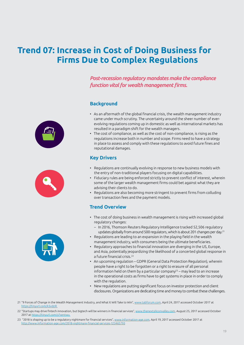# <span id="page-18-0"></span>**Trend 07: Increase in Cost of Doing Business for Firms Due to Complex Regulations**

*Post-recession regulatory mandates make the compliance function vital for wealth management firms.*

#### **Background**







- As an aftermath of the global financial crisis, the wealth management industry came under much scrutiny. The uncertainty around the sheer number of everevolving regulations coming up in domestic as well as international markets has resulted in a paradigm shift for the wealth managers.
- The cost of compliance, as well as the cost of non-compliance, is rising as the regulations increase both in number and scope. Firms need to have a strategy in place to assess and comply with these regulations to avoid future fines and reputational damages.

### **Key Drivers**

- Regulations are continually evolving in response to new business models with the entry of non-traditional players focusing on digital capabilities.
- Fiduciary rules are being enforced strictly to prevent conflict of interest, wherein some of the larger wealth management firms could bet against what they are advising their clients to do.
- Regulations are also becoming more stringent to prevent firms from colluding over transaction fees and the payment models.

### **Trend Overview**

- The cost of doing business in wealth management is rising with increased global regulatory changes:
	- In 2016, Thomson Reuters Regulatory Intelligence tracked 52,506 regulatory updates globally from around 500 regulators,which is about 201 changes per day.21
- Regulations are leading to an expansion in the playing field in the wealth management industry, with consumers being the ultimate beneficiaries.
- Regulatory approaches to financial innovation are diverging in the US, Europe, and Asia, potentially jeopardizing the likelihood of a concerted global response in a future financial crisis.22
- An upcoming regulation GDPR (General Data Protection Regulation), wherein people have a right to be forgotten or a right to erasure of all personal information held on them by a particular company<sup>23</sup> – may lead to an increase in the operational costs as firms have to get systems in place in order to comply with the regulation.
- New regulations are putting significant focus on investor protection and client disclosures. Organizations are dedicating time and money to combat these challenges.
- 21 "9 Forces of Change in the Wealth Management Industry, and What It Will Take to Win", [www.tabforum.com](http://www.tabforum.com), April 24, 2017 accessed October 2017 at [https://tinyurl.com/k5vds9l](https://tinyurl.com/k5vds9l )
- 22 "Startups may drive fintech innovation, but bigtech will be winners in financial services", [www.thenextsiliconvalley.com](http://www.thenextsiliconvalley.com), August 25, 2017 accessed October 2017 at <https://tinyurl.com/y7xentwu>
- 23 "2018 is shaping up to be a regulatory nightmare for financial services", [www.information-age.com,](http://www.information-age.com/) April 19, 2017 accessed October 2017 at [http://www.information-age.com/2018-nightmare-financial-services-123465793](http://www.information-age.com/2018-nightmare-financial-services-123465793/)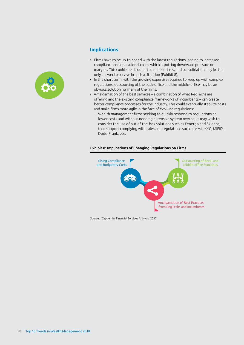

### **Implications**

- Firms have to be up-to-speed with the latest regulations leading to increased compliance and operational costs, which is putting downward pressure on margins. This could spell trouble for smaller firms, and consolidation may be the only answer to survive in such a situation (Exhibit 8).
- In the short term, with the growing expertise required to keep up with complex regulations, outsourcing of the back-office and the middle-office may be an obvious solution for many of the firms.
- Amalgamation of the best services a combination of what RegTechs are offering and the existing compliance frameworks of incumbents – can create better compliance processes for the industry. This could eventually stabilize costs and make firms more agile in the face of evolving regulations:
	- Wealth management firms seeking to quickly respond to regulations at lower costs and without needing extensive system overhauls may wish to consider the use of out-of-the-box solutions such as Fenergo and Skience, that support complying with rules and regulations such as AML, KYC, MiFID II, Dodd-Frank, etc.



#### Exhibit 8: Implications of Changing Regulations on Firms

Source: Capgemini Financial Services Analysis, 2017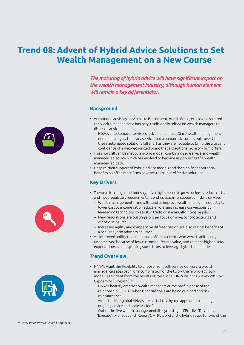# <span id="page-20-0"></span>**Trend 08: Advent of Hybrid Advice Solutions to Set Wealth Management on a New Course**

*The maturing of hybrid advice will have significant impact on the wealth management industry, although human element will remain a key differentiator.*

#### **Background**

- Automated advisory services like Betterment, Wealthfront, etc. have disrupted the wealth management industry, traditionally reliant on wealth managers to dispense advice:
	- However, automated advisors lack a human face. Since wealth management demands a highly fiduciary service that a human advisor has built over time, these automated solutions fall short as they are not able to bring the trust and confidence of a well-recognized brand that a traditional advisory firm offers.
- This shortfall can be met by a hybrid model, combining self-service and wealth manager-led advice, which has evolved to become as popular as the wealth manager-led path.
- Despite their support of hybrid-advice models and the significant potential benefits on offer, most firms have yet to roll out effective solutions.

### **Key Drivers**

- The wealth management industry, driven by the need to grow business, reduce costs, and meet regulatory requirements, is enthusiastic in its support of hybrid services:
	- Wealth management firms will stand to improve wealth manager productivity, lower cost to income ratio, reduce errors, and increase conversions by leveraging technology to assist in traditional manually intensive jobs.
	- New regulations are putting a bigger focus on investor protections and client disclosures.
	- Increased agility and competitive differentiation are also critical benefits of a robust hybrid advisory solution.
- An improved ability to attract mass affluent clients who were traditionally underserved because of low customer lifetime value, and to meet higher HNWI expectations is also spurring some firms to leverage hybrid capabilities.

### **Trend Overview**

- HNWIs want the flexibility to choose from self-service delivery, a wealth manager-led approach, or a combination of the two – the hybrid-advisory model, as evident from the results of the Global HNW Insights Survey 2017 by Capgemini (Exhibit 9):24
	- HNWIs heartily embrace wealth managers at the profile phase of the relationship (60.2%), when financial goals are being outlined and risk tolerances set.
	- Almost half of global HNWIs are partial to a hybrid approach to 'manage ongoing advice and optimization.'
	- Out of the five wealth management lifecycle stages ('Profile', 'Develop', 'Execute', 'Manage', and 'Report'), HNWIs prefer the hybrid route for two of the





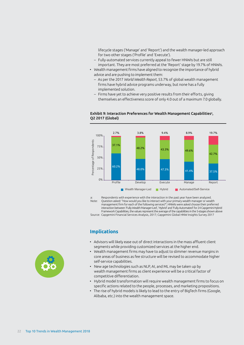lifecycle stages ('Manage' and 'Report') and the wealth manager-led approach for two other stages ('Profile' and 'Execute').

- Fully-automated services currently appeal to fewer HNWIs but are still important. They are most preferred at the 'Report' stage by 19.7% of HNWIs.
- Wealth management firms have aligned to recognize the importance of hybrid advice and are pushing to implement them:
	- As per the 2017 *World Wealth Report*, 53.7% of global wealth management firms have hybrid advice programs underway, but none has a fully implemented solution.
	- Firms have yet to achieve very positive results from their efforts, giving themselves an effectiveness score of only 4.0 out of a maximum 7.0 globally.





a: Respondents with experience with the interaction in the past year have been analyzed.<br>Note: Ouestion asked: "How would you like to interact with your primary wealth manager or weal Question asked: "How would you like to interact with your primary wealth manager or wealth management firm for each of the following services?"; HNWIs were asked choose their preferred interaction between 'Fully Wealth Manager-Led', 'Hybrid' and 'Fully Automated' for 24 Capgemini Hybrid Framework Capabilities, the values represent the average of the capabilities in the 5-stages shown above

Source: Capgemini Financial Services Analysis, 2017; Capgemini Global HNW Insights Survey 2017

### **Implications**

- Advisors will likely ease out of direct interactions in the mass affluent client segments while providing customized services at the higher end.
- Wealth management firms may have to adjust to slimmer revenue margins in core areas of business as fee structure will be revised to accommodate higher self-service capabilities.
- New age technologies such as NLP, AI, and ML may be taken up by wealth management firms as client experience will be a critical factor of competitive differentiation.
- Hybrid model transformation will require wealth management firms to focus on specific actions related to the people, processes, and marketing propositions.
- The rise of hybrid models is likely to lead to the entry of BigTech firms (Google, Alibaba, etc.) into the wealth management space.

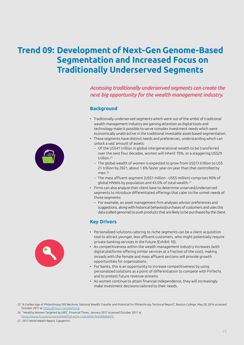# <span id="page-22-0"></span>**Trend 09: Development of Next-Gen Genome-Based Segmentation and Increased Focus on Traditionally Underserved Segments**

*Accessing traditionally underserved segments can create the next big opportunity for the wealth management industry.*

#### **Background**

- Traditionally underserved segments which were out of the ambit of traditional wealth management industry are gaining attention as digital tools and technology make it possible to serve complex investment needs which were economically unattractive in the traditional investable asset-based segmentation.
- These segments have distinct needs and preferences, understanding which can unlock a vast amount of assets:
	- Of the US\$41 trillion in global intergenerational wealth to be transferred over the next four decades, women will inherit 70%, or a staggering US\$29 trillion.25
	- The global wealth of women is expected to grow from US\$13 trillion to US\$ 21 trillion by 2021, about 1.6% faster year-on-year than that controlled by men.26
	- The mass affluent segment (US\$1 million US\$5 million) comprises 90% of global HNWIs by population and 43.0% of total wealth.27
- Firms can also analyze their client base to determine unserved/underserved segments to introduce differentiated offerings that cater to the unmet needs of those segments:
	- For example, an asset management firm analyses advisor preferences and suggestions, along with historical behavior/purchases of customers and uses this data (called genome) to push products that are likely to be purchased by the client.

#### **Key Drivers**

- Personalized solutions catering to niche segments can be a client acquisition tool to attract younger, less-affluent customers, who might potentially require private banking services in the future (Exhibit 10).
- As competitiveness within the wealth management industry increases (with digital platforms offering similar services at a fraction of the cost), making inroads with the female and mass affluent sections will provide growth opportunities for organizations.
- For banks, this is an opportunity to increase competitiveness by using personalized solutions as a point of differentiation to compete with FinTechs and to protect future revenue streams.
- As women continue to attain financial independence, they will increasingly make investment decisions tailored to their needs.

26 "Wealthy Women Targeted by UBS", Financial Times, January 2017 accessed October 2017 at <https://www.ft.com/content/d446ffe0-e23e-11e6-8405-9e5580d6e5fb>

27 *2017 World Wealth Report,* Capgemini



<sup>25 &</sup>quot;A Golden Age of Philanthropy Still Beckons: National Wealth Transfer and Potential for Philanthropy Technical Report", Boston College, May 28, 2014 accessed October 2017 at [https://tinyurl.com/owhzxqt](https://tinyurl.com/owhzxqt )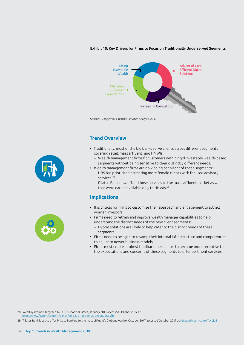#### Exhibit 10: Key Drivers for Firms to Focus on Traditionally Underserved Segments



Source: Capgemini Financial Services Analysis, 2017

#### **Trend Overview**

- Traditionally, most of the big banks serve clients across different segments covering retail, mass affluent, and HNWIs:
	- Wealth management firms fit customers within rigid investable wealth-based segments without being sensitive to their distinctly different needs.
- Wealth management firms are now being cognizant of these segments:
	- UBS has prioritized attracting more female clients with focused advisory services.28
	- Pilatus Bank now offers those services to the mass-affluent market as well, that were earlier available only to HNWIs.29

#### **Implications**

- It is critical for firms to customize their approach and engagement to attract women investors.
- Firms need to retrain and improve wealth manager capabilities to help understand the distinct needs of the new client segments:
	- Hybrid solutions are likely to help cater to the distinct needs of these segments.
- Firms need to be agile to revamp their internal infrastructure and competencies to adjust to newer business models.
- Firms must create a robust feedback mechanism to become more receptive to the expectations and concerns of these segments to offer pertinent services.





28 "Wealthy Women Targeted by UBS", Financial Times, January 2017 accessed October 2017 at <https://www.ft.com/content/d446ffe0-e23e-11e6-8405-9e5580d6e5fb>

29 "Pilatus Bank is set to offer Private Banking to the mass affluent", Globenewswire, October 2017 accessed October 2017 at [https://tinyurl.com/y7y4cjq2](https://globenewswire.com/news-release/2017/10/23/1151326/0/en/Pilatus-Bank-is-set-to-offer-Private-Banking-to-the-mass-affluent.html)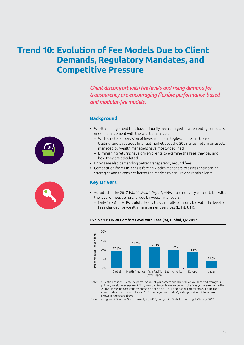# <span id="page-24-0"></span>**Trend 10: Evolution of Fee Models Due to Client Demands, Regulatory Mandates, and Competitive Pressure**

*Client discomfort with fee levels and rising demand for transparency are encouraging flexible performance-based and modular-fee models.*

#### **Background**

- Wealth management fees have primarily been charged as a percentage of assets under management with the wealth manager:
	- With stricter supervision of investment strategies and restrictions on trading, and a cautious financial market post the 2008 crisis, return on assets managed by wealth managers have mostly declined.
	- Diminishing returns have driven clients to examine the fees they pay and how they are calculated.
- HNWIs are also demanding better transparency around fees.
- Competition from FinTechs is forcing wealth managers to assess their pricing strategies and to consider better fee models to acquire and retain clients.

#### **Key Drivers**

- As noted in the 2017 *World Wealth Report*, HNWIs are not very comfortable with the level of fees being charged by wealth managers:
	- Only 47.8% of HNWIs globally say they are fully comfortable with the level of fees charged for wealth management services (Exhibit 11).



Exhibit 11: HNWI Comfort Level with Fees (%), Global, Q2 2017

Note: Question asked: "Given the performance of your assets and the service you received from your primary wealth management firm, how comfortable were you with the fees you were charged in 2016? Please indicate your response on a scale of 1–7. 1 = Not at all comfortable, 4 = Neither comfortable nor uncomfortable, 7 = Extremely comfortable"; Ratings of 6 and 7 have been shown in the chart above

Source: Capgemini Financial Services Analysis, 2017; Capgemini Global HNW Insights Survey 2017



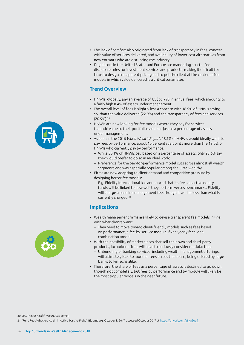- The lack of comfort also originated from lack of transparency in fees, concern with value of services delivered, and availability of lower-cost alternatives from new entrants who are disrupting the industry.
- Regulators in the United States and Europe are mandating stricter fee disclosure rules for investment services and products, making it difficult for firms to design transparent pricing and to put the client at the center of fee models in which value delivered is a critical parameter.

#### **Trend Overview**

- HNWIs, globally, pay an average of US\$65,795 in annual fees, which amounts to a fairly high 8.4% of assets under management.
- The overall level of fees is slightly less a concern with 18.9% of HNWIs saying so, than the value delivered (22.9%) and the transparency of fees and services (20.9%).30
- HNWIs are now looking for fee models where they pay for services that add value to their portfolios and not just as a percentage of assets under management.
- As seen in the 2016 *World Wealth Report*, 28.1% of HNWIs would ideally want to pay fees by performance, about 10 percentage points more than the 18.0% of HNWIs who currently pay by performance:
	- While 30.1% of HNWIs pay based on a percentage of assets, only 23.6% say they would prefer to do so in an ideal world.
	- Preference for the pay-for-performance model cuts across almost all wealth segments and was especially popular among the ultra-wealthy.
- Firms are now adapting to client demand and competitive pressure by designing better fee models:
	- E.g. Fidelity International has announced that its fees on active equity funds will be linked to how well they perform versus benchmarks. Fidelity will charge a baseline management fee, though it will be less than what is currently charged.<sup>31</sup>

### **Implications**

- Wealth management firms are likely to devise transparent fee models in line with what clients want:
	- They need to move toward client-friendly models such as fees based on performance, a fee-by-service module, fixed yearly fees, or a combination model.
- With the possibility of marketplaces that sell their own and third-party products, incumbent firms will have to seriously consider modular fees:
	- Unbundling of banking services, including wealth management offerings, will ultimately lead to modular fees across the board, being offered by large banks to FinTechs alike.
- Therefore, the share of fees as a percentage of assets is destined to go down, though not completely, but fees by performance and by module will likely be the most popular models in the near future.



30 *2017 World Wealth Report,* Capgemini

31 "Fund Fees Whacked Again in Active-Passive Fight", Bloomberg, October 3, 2017, accessed October 2017 at [https://tinyurl.com/y8kg2oo9](https://tinyurl.com/y8kg2oo9 )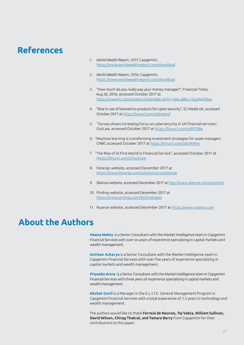### <span id="page-26-0"></span>**References**

- *1. World Wealth Report, 2017,* Capgemini, <https://www.worldwealthreport.com/download>
- *2. World Wealth Report, 2016,* Capgemini, <https://www.worldwealthreport.com/download>
- 3. "How much do you really pay your money manager?", Financial Times, Aug 26, 2016, accessed October 2017 at <https://www.ft.com/content/56243606-6614-11e6-a08a-c7ac04ef00aa>
- 4. "Rise in use of biometrics products for cyber-security", SC Media UK, accessed October 2017 at <https://tinyurl.com/y9zmjmuf>
- 5. "Survey shows increasing focus on cybersecurity in UK financial services". OutLaw, accessed October 2017 at <https://tinyurl.com/y89759je>
- 6. "Machine learning is transforming investment strategies for asset managers CNBC accessed October 2017 at <https://tinyurl.com/y8y9t4kw>
- 7. "The Rise of AI First World in Financial Service", accessed October 2017 at <https://tinyurl.com/y7wyk5oe>
- 8. Fenergo website, accessed December 2017 at <https://www.fenergo.com/solutions/compliance>
- 9. Skience website, accessed December 2017 at <http://www.skience.com/solutions>
- 10. Pindrop website, accessed December 2017 at <https://www.pindrop.com/technologies>
- 11. Nuance website, accessed December 2017 at <https://www.nuance.com>

### **About the Authors**

Heena Mehta is a Senior Consultant with the Market Intelligence team in Capgemini Financial Services with over six years of experience specializing in capital markets and wealth management.

**Anirban Acharya** is a Senior Consultant with the Market Intelligence team in Capgemini Financial Services with over five years of experience specializing in capital markets and wealth management.

**Priyanka Arora** is a Senior Consultant with the Market Intelligence team in Capgemini Financial Services with three years of experience specializing in capital markets and wealth management.

**Akshat Govil** is a Manager in the E.L.I.T.E. General Management Program in Capgemini Financial Services with a total experience of 1.5 years in technology and wealth management.

The authors would like to thank Ferreol de Naurois, Tej Vakta, William Sullivan, David Wilson, Chirag Thakral, and Tamara Berry from Capgemini for their contributions to this paper.